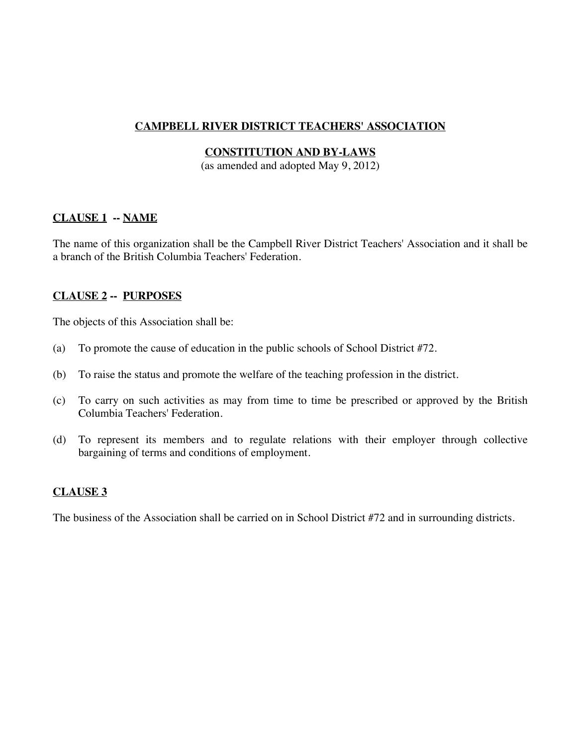# **CAMPBELL RIVER DISTRICT TEACHERS' ASSOCIATION**

## **CONSTITUTION AND BY-LAWS**

(as amended and adopted May 9, 2012)

### **CLAUSE 1 -- NAME**

The name of this organization shall be the Campbell River District Teachers' Association and it shall be a branch of the British Columbia Teachers' Federation.

### **CLAUSE 2 -- PURPOSES**

The objects of this Association shall be:

- (a) To promote the cause of education in the public schools of School District #72.
- (b) To raise the status and promote the welfare of the teaching profession in the district.
- (c) To carry on such activities as may from time to time be prescribed or approved by the British Columbia Teachers' Federation.
- (d) To represent its members and to regulate relations with their employer through collective bargaining of terms and conditions of employment.

# **CLAUSE 3**

The business of the Association shall be carried on in School District #72 and in surrounding districts.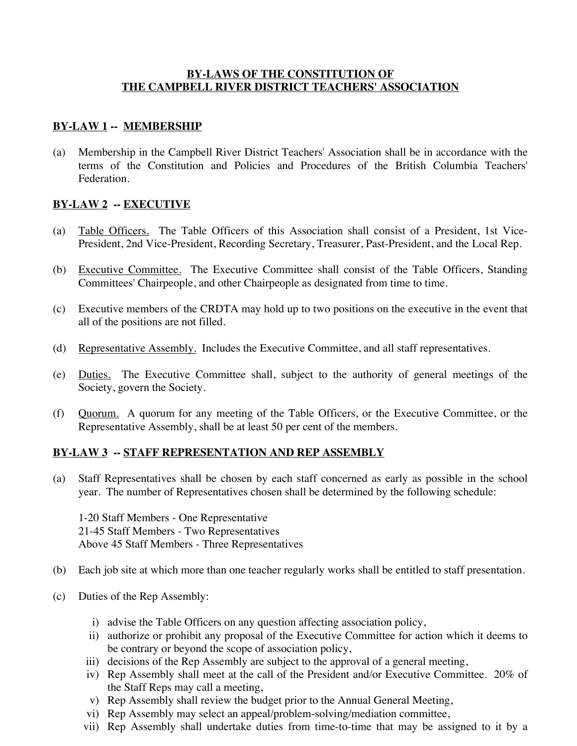### **BY-LAWS OF THE CONSTITUTION OF THE CAMPBELL RIVER DISTRICT TEACHERS' ASSOCIATION**

## **BY-LAW 1 -- MEMBERSHIP**

(a) Membership in the Campbell River District Teachers' Association shall be in accordance with the terms of the Constitution and Policies and Procedures of the British Columbia Teachers' Federation.

### **BY-LAW 2 -- EXECUTIVE**

- (a) Table Officers. The Table Officers of this Association shall consist of a President, 1st Vice-President, 2nd Vice-President, Recording Secretary, Treasurer, Past-President, and the Local Rep.
- (b) Executive Committee. The Executive Committee shall consist of the Table Officers, Standing Committees' Chairpeople, and other Chairpeople as designated from time to time.
- (c) Executive members of the CRDTA may hold up to two positions on the executive in the event that all of the positions are not filled.
- (d) Representative Assembly. Includes the Executive Committee, and all staff representatives.
- (e) Duties. The Executive Committee shall, subject to the authority of general meetings of the Society, govern the Society.
- (f) Quorum. A quorum for any meeting of the Table Officers, or the Executive Committee, or the Representative Assembly, shall be at least 50 per cent of the members.

### **BY-LAW 3 -- STAFF REPRESENTATION AND REP ASSEMBLY**

(a) Staff Representatives shall be chosen by each staff concerned as early as possible in the school year. The number of Representatives chosen shall be determined by the following schedule:

1-20 Staff Members - One Representative 21-45 Staff Members - Two Representatives Above 45 Staff Members - Three Representatives

- (b) Each job site at which more than one teacher regularly works shall be entitled to staff presentation.
- (c) Duties of the Rep Assembly:
	- i) advise the Table Officers on any question affecting association policy,
	- ii) authorize or prohibit any proposal of the Executive Committee for action which it deems to be contrary or beyond the scope of association policy,
	- iii) decisions of the Rep Assembly are subject to the approval of a general meeting,
	- iv) Rep Assembly shall meet at the call of the President and/or Executive Committee. 20% of the Staff Reps may call a meeting,
	- v) Rep Assembly shall review the budget prior to the Annual General Meeting,
	- vi) Rep Assembly may select an appeal/problem-solving/mediation committee,
	- vii) Rep Assembly shall undertake duties from time-to-time that may be assigned to it by a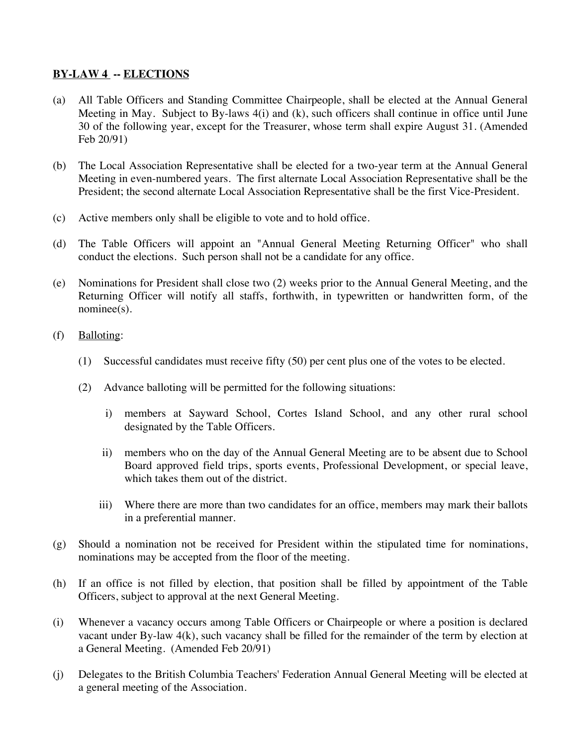## **BY-LAW 4 -- ELECTIONS**

- (a) All Table Officers and Standing Committee Chairpeople, shall be elected at the Annual General Meeting in May. Subject to By-laws 4(i) and (k), such officers shall continue in office until June 30 of the following year, except for the Treasurer, whose term shall expire August 31. (Amended Feb 20/91)
- (b) The Local Association Representative shall be elected for a two-year term at the Annual General Meeting in even-numbered years. The first alternate Local Association Representative shall be the President; the second alternate Local Association Representative shall be the first Vice-President.
- (c) Active members only shall be eligible to vote and to hold office.
- (d) The Table Officers will appoint an "Annual General Meeting Returning Officer" who shall conduct the elections. Such person shall not be a candidate for any office.
- (e) Nominations for President shall close two (2) weeks prior to the Annual General Meeting, and the Returning Officer will notify all staffs, forthwith, in typewritten or handwritten form, of the nominee(s).
- (f) Balloting:
	- (1) Successful candidates must receive fifty (50) per cent plus one of the votes to be elected.
	- (2) Advance balloting will be permitted for the following situations:
		- i) members at Sayward School, Cortes Island School, and any other rural school designated by the Table Officers.
		- ii) members who on the day of the Annual General Meeting are to be absent due to School Board approved field trips, sports events, Professional Development, or special leave, which takes them out of the district.
		- iii) Where there are more than two candidates for an office, members may mark their ballots in a preferential manner.
- (g) Should a nomination not be received for President within the stipulated time for nominations, nominations may be accepted from the floor of the meeting.
- (h) If an office is not filled by election, that position shall be filled by appointment of the Table Officers, subject to approval at the next General Meeting.
- (i) Whenever a vacancy occurs among Table Officers or Chairpeople or where a position is declared vacant under By-law 4(k), such vacancy shall be filled for the remainder of the term by election at a General Meeting. (Amended Feb 20/91)
- (j) Delegates to the British Columbia Teachers' Federation Annual General Meeting will be elected at a general meeting of the Association.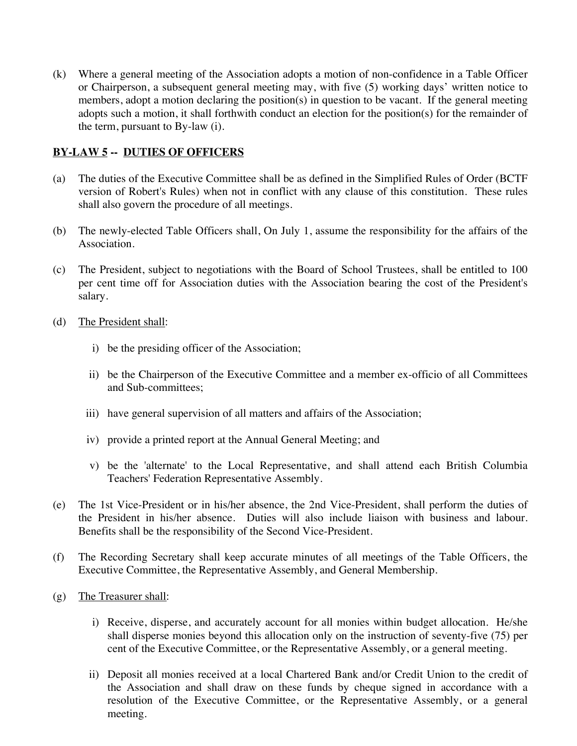(k) Where a general meeting of the Association adopts a motion of non-confidence in a Table Officer or Chairperson, a subsequent general meeting may, with five (5) working days' written notice to members, adopt a motion declaring the position(s) in question to be vacant. If the general meeting adopts such a motion, it shall forthwith conduct an election for the position(s) for the remainder of the term, pursuant to By-law (i).

# **BY-LAW 5 -- DUTIES OF OFFICERS**

- (a) The duties of the Executive Committee shall be as defined in the Simplified Rules of Order (BCTF version of Robert's Rules) when not in conflict with any clause of this constitution. These rules shall also govern the procedure of all meetings.
- (b) The newly-elected Table Officers shall, On July 1, assume the responsibility for the affairs of the Association.
- (c) The President, subject to negotiations with the Board of School Trustees, shall be entitled to 100 per cent time off for Association duties with the Association bearing the cost of the President's salary.
- (d) The President shall:
	- i) be the presiding officer of the Association;
	- ii) be the Chairperson of the Executive Committee and a member ex-officio of all Committees and Sub-committees;
	- iii) have general supervision of all matters and affairs of the Association;
	- iv) provide a printed report at the Annual General Meeting; and
	- v) be the 'alternate' to the Local Representative, and shall attend each British Columbia Teachers' Federation Representative Assembly.
- (e) The 1st Vice-President or in his/her absence, the 2nd Vice-President, shall perform the duties of the President in his/her absence. Duties will also include liaison with business and labour. Benefits shall be the responsibility of the Second Vice-President.
- (f) The Recording Secretary shall keep accurate minutes of all meetings of the Table Officers, the Executive Committee, the Representative Assembly, and General Membership.
- (g) The Treasurer shall:
	- i) Receive, disperse, and accurately account for all monies within budget allocation. He/she shall disperse monies beyond this allocation only on the instruction of seventy-five (75) per cent of the Executive Committee, or the Representative Assembly, or a general meeting.
	- ii) Deposit all monies received at a local Chartered Bank and/or Credit Union to the credit of the Association and shall draw on these funds by cheque signed in accordance with a resolution of the Executive Committee, or the Representative Assembly, or a general meeting.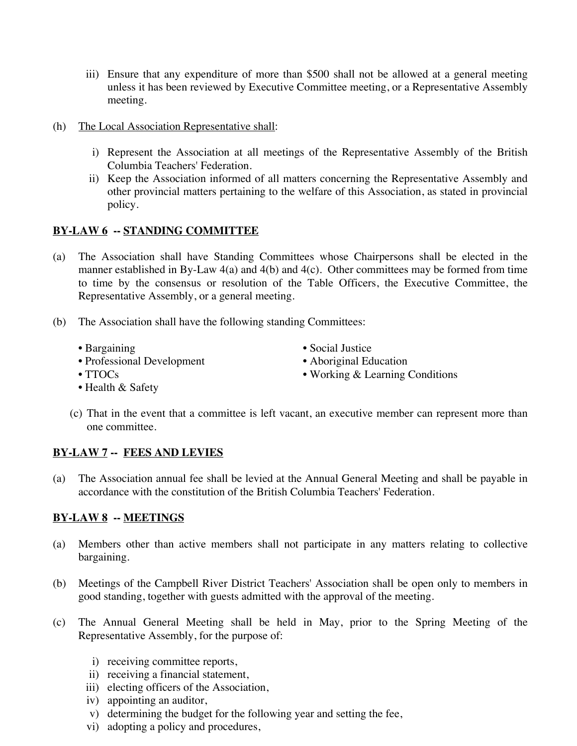- iii) Ensure that any expenditure of more than \$500 shall not be allowed at a general meeting unless it has been reviewed by Executive Committee meeting, or a Representative Assembly meeting.
- (h) The Local Association Representative shall:
	- i) Represent the Association at all meetings of the Representative Assembly of the British Columbia Teachers' Federation.
	- ii) Keep the Association informed of all matters concerning the Representative Assembly and other provincial matters pertaining to the welfare of this Association, as stated in provincial policy.

# **BY-LAW 6 -- STANDING COMMITTEE**

- (a) The Association shall have Standing Committees whose Chairpersons shall be elected in the manner established in By-Law 4(a) and 4(b) and 4(c). Other committees may be formed from time to time by the consensus or resolution of the Table Officers, the Executive Committee, the Representative Assembly, or a general meeting.
- (b) The Association shall have the following standing Committees:
	-
	- Professional Development Aboriginal Education
	- Bargaining Social Justice
		-
	- TTOCs Working & Learning Conditions
	-
	- Health & Safety
	- (c) That in the event that a committee is left vacant, an executive member can represent more than one committee.

# **BY-LAW 7 -- FEES AND LEVIES**

(a) The Association annual fee shall be levied at the Annual General Meeting and shall be payable in accordance with the constitution of the British Columbia Teachers' Federation.

# **BY-LAW 8 -- MEETINGS**

- (a) Members other than active members shall not participate in any matters relating to collective bargaining.
- (b) Meetings of the Campbell River District Teachers' Association shall be open only to members in good standing, together with guests admitted with the approval of the meeting.
- (c) The Annual General Meeting shall be held in May, prior to the Spring Meeting of the Representative Assembly, for the purpose of:
	- i) receiving committee reports,
	- ii) receiving a financial statement,
	- iii) electing officers of the Association,
	- iv) appointing an auditor,
	- v) determining the budget for the following year and setting the fee,
	- vi) adopting a policy and procedures,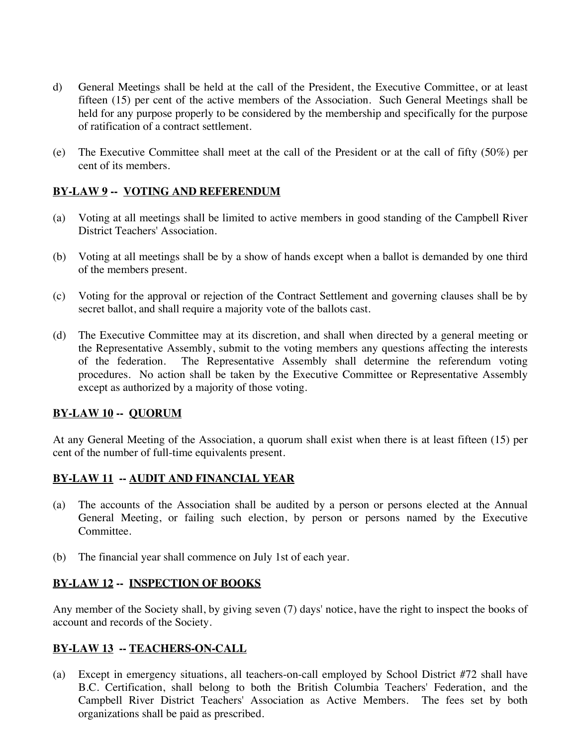- d) General Meetings shall be held at the call of the President, the Executive Committee, or at least fifteen (15) per cent of the active members of the Association. Such General Meetings shall be held for any purpose properly to be considered by the membership and specifically for the purpose of ratification of a contract settlement.
- (e) The Executive Committee shall meet at the call of the President or at the call of fifty (50%) per cent of its members.

# **BY-LAW 9 -- VOTING AND REFERENDUM**

- (a) Voting at all meetings shall be limited to active members in good standing of the Campbell River District Teachers' Association.
- (b) Voting at all meetings shall be by a show of hands except when a ballot is demanded by one third of the members present.
- (c) Voting for the approval or rejection of the Contract Settlement and governing clauses shall be by secret ballot, and shall require a majority vote of the ballots cast.
- (d) The Executive Committee may at its discretion, and shall when directed by a general meeting or the Representative Assembly, submit to the voting members any questions affecting the interests of the federation. The Representative Assembly shall determine the referendum voting procedures. No action shall be taken by the Executive Committee or Representative Assembly except as authorized by a majority of those voting.

### **BY-LAW 10 -- QUORUM**

At any General Meeting of the Association, a quorum shall exist when there is at least fifteen (15) per cent of the number of full-time equivalents present.

# **BY-LAW 11 -- AUDIT AND FINANCIAL YEAR**

- (a) The accounts of the Association shall be audited by a person or persons elected at the Annual General Meeting, or failing such election, by person or persons named by the Executive Committee.
- (b) The financial year shall commence on July 1st of each year.

### **BY-LAW 12 -- INSPECTION OF BOOKS**

Any member of the Society shall, by giving seven (7) days' notice, have the right to inspect the books of account and records of the Society.

# **BY-LAW 13 -- TEACHERS-ON-CALL**

(a) Except in emergency situations, all teachers-on-call employed by School District #72 shall have B.C. Certification, shall belong to both the British Columbia Teachers' Federation, and the Campbell River District Teachers' Association as Active Members. The fees set by both organizations shall be paid as prescribed.